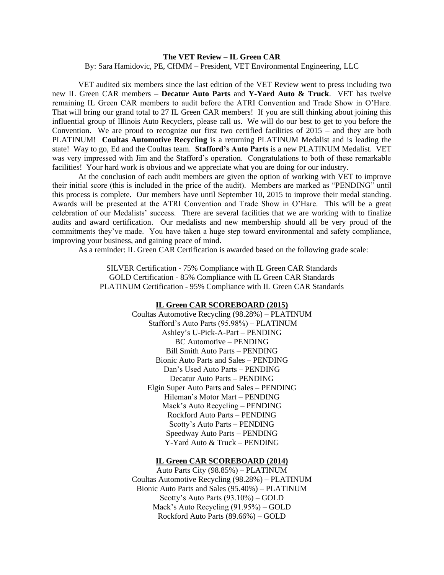## **The VET Review – IL Green CAR**

By: Sara Hamidovic, PE, CHMM – President, VET Environmental Engineering, LLC

VET audited six members since the last edition of the VET Review went to press including two new IL Green CAR members – **Decatur Auto Parts** and **Y-Yard Auto & Truck**. VET has twelve remaining IL Green CAR members to audit before the ATRI Convention and Trade Show in O'Hare. That will bring our grand total to 27 IL Green CAR members! If you are still thinking about joining this influential group of Illinois Auto Recyclers, please call us. We will do our best to get to you before the Convention. We are proud to recognize our first two certified facilities of 2015 – and they are both PLATINUM! **Coultas Automotive Recycling** is a returning PLATINUM Medalist and is leading the state! Way to go, Ed and the Coultas team. **Stafford's Auto Parts** is a new PLATINUM Medalist. VET was very impressed with Jim and the Stafford's operation. Congratulations to both of these remarkable facilities! Your hard work is obvious and we appreciate what you are doing for our industry.

At the conclusion of each audit members are given the option of working with VET to improve their initial score (this is included in the price of the audit). Members are marked as "PENDING" until this process is complete. Our members have until September 10, 2015 to improve their medal standing. Awards will be presented at the ATRI Convention and Trade Show in O'Hare. This will be a great celebration of our Medalists' success. There are several facilities that we are working with to finalize audits and award certification. Our medalists and new membership should all be very proud of the commitments they've made. You have taken a huge step toward environmental and safety compliance, improving your business, and gaining peace of mind.

As a reminder: IL Green CAR Certification is awarded based on the following grade scale:

SILVER Certification - 75% Compliance with IL Green CAR Standards GOLD Certification - 85% Compliance with IL Green CAR Standards PLATINUM Certification - 95% Compliance with IL Green CAR Standards

## **IL Green CAR SCOREBOARD (2015)**

Coultas Automotive Recycling (98.28%) – PLATINUM Stafford's Auto Parts (95.98%) – PLATINUM Ashley's U-Pick-A-Part – PENDING BC Automotive – PENDING Bill Smith Auto Parts – PENDING Bionic Auto Parts and Sales – PENDING Dan's Used Auto Parts – PENDING Decatur Auto Parts – PENDING Elgin Super Auto Parts and Sales – PENDING Hileman's Motor Mart – PENDING Mack's Auto Recycling – PENDING Rockford Auto Parts – PENDING Scotty's Auto Parts – PENDING Speedway Auto Parts – PENDING Y-Yard Auto & Truck – PENDING

## **IL Green CAR SCOREBOARD (2014)**

Auto Parts City (98.85%) – PLATINUM Coultas Automotive Recycling (98.28%) – PLATINUM Bionic Auto Parts and Sales (95.40%) – PLATINUM Scotty's Auto Parts (93.10%) – GOLD Mack's Auto Recycling (91.95%) – GOLD Rockford Auto Parts (89.66%) – GOLD